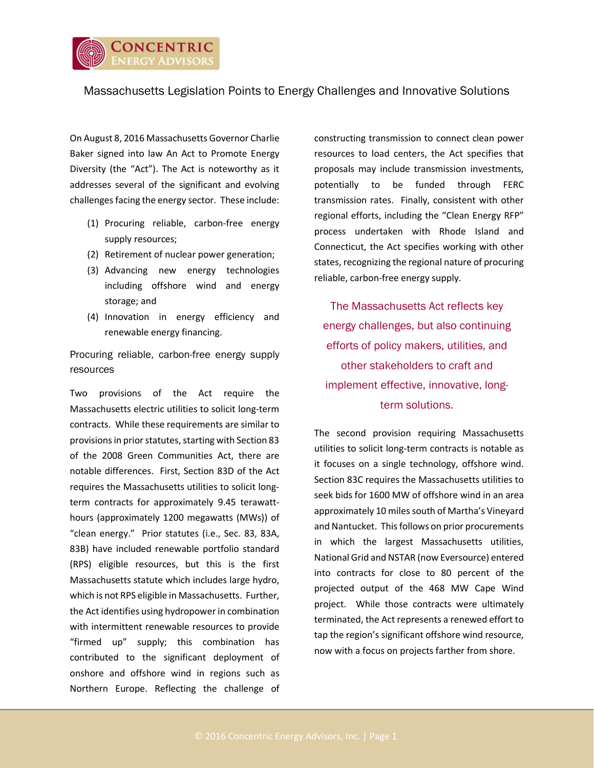

## Massachusetts Legislation Points to Energy Challenges and Innovative Solutions

On August 8, 2016 Massachusetts Governor Charlie Baker signed into law An Act to Promote Energy Diversity (the "Act"). The Act is noteworthy as it addresses several of the significant and evolving challenges facing the energy sector. These include:

- (1) Procuring reliable, carbon-free energy supply resources;
- (2) Retirement of nuclear power generation;
- (3) Advancing new energy technologies including offshore wind and energy storage; and
- (4) Innovation in energy efficiency and renewable energy financing.

Procuring reliable, carbon-free energy supply resources

Two provisions of the Act require the Massachusetts electric utilities to solicit long-term contracts. While these requirements are similar to provisions in prior statutes, starting with Section 83 of the 2008 Green Communities Act, there are notable differences. First, Section 83D of the Act requires the Massachusetts utilities to solicit longterm contracts for approximately 9.45 terawatthours (approximately 1200 megawatts (MWs)) of "clean energy." Prior statutes (i.e., Sec. 83, 83A, 83B) have included renewable portfolio standard (RPS) eligible resources, but this is the first Massachusetts statute which includes large hydro, which is not RPS eligible in Massachusetts. Further, the Act identifies using hydropower in combination with intermittent renewable resources to provide "firmed up" supply; this combination has contributed to the significant deployment of onshore and offshore wind in regions such as Northern Europe. Reflecting the challenge of

constructing transmission to connect clean power resources to load centers, the Act specifies that proposals may include transmission investments, potentially to be funded through FERC transmission rates. Finally, consistent with other regional efforts, including the "Clean Energy RFP" process undertaken with Rhode Island and Connecticut, the Act specifies working with other states, recognizing the regional nature of procuring reliable, carbon-free energy supply.

The Massachusetts Act reflects key energy challenges, but also continuing efforts of policy makers, utilities, and other stakeholders to craft and implement effective, innovative, longterm solutions.

The second provision requiring Massachusetts utilities to solicit long-term contracts is notable as it focuses on a single technology, offshore wind. Section 83C requires the Massachusetts utilities to seek bids for 1600 MW of offshore wind in an area approximately 10 miles south of Martha's Vineyard and Nantucket. This follows on prior procurements in which the largest Massachusetts utilities, National Grid and NSTAR (now Eversource) entered into contracts for close to 80 percent of the projected output of the 468 MW Cape Wind project. While those contracts were ultimately terminated, the Act represents a renewed effort to tap the region's significant offshore wind resource, now with a focus on projects farther from shore.